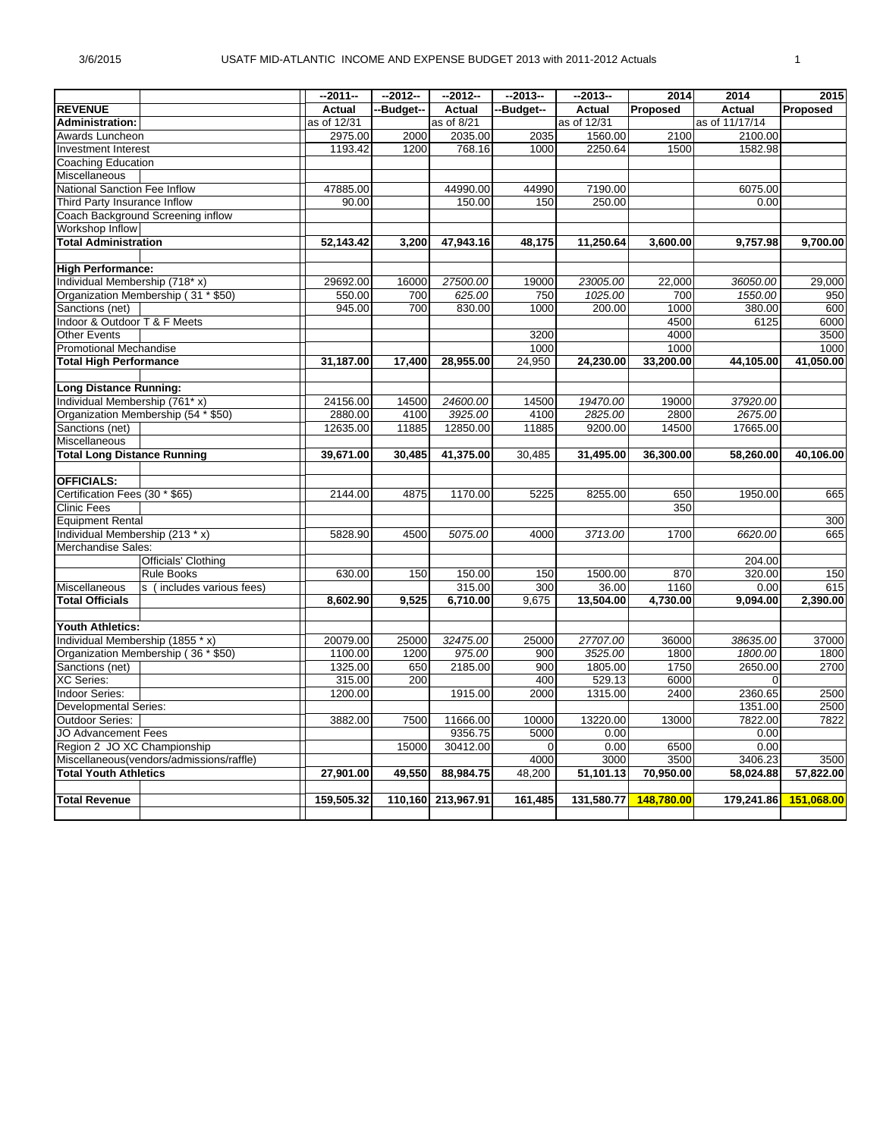|                                          |                                     | $-2011-$    | $-2012-$  | $-2012-$           | $-2013-$  | $-2013-$      | 2014       | 2014           | 2015       |
|------------------------------------------|-------------------------------------|-------------|-----------|--------------------|-----------|---------------|------------|----------------|------------|
| <b>REVENUE</b>                           |                                     | Actual      | -Budget-- | Actual             | -Budget-- | <b>Actual</b> | Proposed   | <b>Actual</b>  | Proposed   |
| Administration:                          |                                     | as of 12/31 |           | as of 8/21         |           | as of 12/31   |            | as of 11/17/14 |            |
| Awards Luncheon                          |                                     | 2975.00     | 2000      | 2035.00            | 2035      | 1560.00       | 2100       | 2100.00        |            |
| nvestment Interest                       |                                     | 1193.42     | 1200      | 768.16             | 1000      | 2250.64       | 1500       | 1582.98        |            |
| <b>Coaching Education</b>                |                                     |             |           |                    |           |               |            |                |            |
| Miscellaneous                            |                                     |             |           |                    |           |               |            |                |            |
| <b>National Sanction Fee Inflow</b>      |                                     | 47885.00    |           | 44990.00           | 44990     | 7190.00       |            | 6075.00        |            |
| Third Party Insurance Inflow             |                                     | 90.00       |           | 150.00             | 150       | 250.00        |            | 0.00           |            |
|                                          | Coach Background Screening inflow   |             |           |                    |           |               |            |                |            |
| Workshop Inflow                          |                                     |             |           |                    |           |               |            |                |            |
| <b>Total Administration</b>              |                                     | 52,143.42   | 3,200     | 47,943.16          | 48,175    | 11,250.64     | 3,600.00   | 9,757.98       | 9,700.00   |
|                                          |                                     |             |           |                    |           |               |            |                |            |
| <b>High Performance:</b>                 |                                     |             |           |                    |           |               |            |                |            |
| Individual Membership (718* x)           |                                     | 29692.00    | 16000     | 27500.00           | 19000     | 23005.00      | 22,000     | 36050.00       | 29,000     |
|                                          | Organization Membership (31 * \$50) | 550.00      | 700       | 625.00             | 750       | 1025.00       | 700        | 1550.00        | 950        |
| Sanctions (net)                          |                                     | 945.00      | 700       | 830.00             | 1000      | 200.00        | 1000       | 380.00         | 600        |
| Indoor & Outdoor T & F Meets             |                                     |             |           |                    |           |               | 4500       | 6125           | 6000       |
| <b>Other Events</b>                      |                                     |             |           |                    | 3200      |               | 4000       |                | 3500       |
| <b>Promotional Mechandise</b>            |                                     |             |           |                    | 1000      |               | 1000       |                | 1000       |
| <b>Total High Performance</b>            |                                     | 31,187.00   | 17,400    | 28,955.00          | 24,950    | 24,230.00     | 33,200.00  | 44,105.00      | 41,050.00  |
|                                          |                                     |             |           |                    |           |               |            |                |            |
| <b>Long Distance Running:</b>            |                                     |             |           |                    |           |               |            |                |            |
| Individual Membership (761* x)           |                                     | 24156.00    | 14500     | 24600.00           | 14500     | 19470.00      | 19000      | 37920.00       |            |
|                                          | Organization Membership (54 * \$50) | 2880.00     | 4100      | 3925.00            | 4100      | 2825.00       | 2800       | 2675.00        |            |
| Sanctions (net)                          |                                     | 12635.00    | 11885     | 12850.00           | 11885     | 9200.00       | 14500      | 17665.00       |            |
| Miscellaneous                            |                                     |             |           |                    |           |               |            |                |            |
| <b>Total Long Distance Running</b>       |                                     | 39,671.00   | 30,485    | 41,375.00          | 30,485    | 31,495.00     | 36,300.00  | 58,260.00      | 40,106.00  |
|                                          |                                     |             |           |                    |           |               |            |                |            |
| <b>OFFICIALS:</b>                        |                                     |             |           |                    |           |               |            |                |            |
| Certification Fees (30 * \$65)           |                                     | 2144.00     | 4875      | 1170.00            | 5225      | 8255.00       | 650        | 1950.00        | 665        |
| <b>Clinic Fees</b>                       |                                     |             |           |                    |           |               | 350        |                |            |
| <b>Equipment Rental</b>                  |                                     |             |           |                    |           |               |            |                | 300        |
| Individual Membership (213 * x)          |                                     | 5828.90     | 4500      | 5075.00            | 4000      | 3713.00       | 1700       | 6620.00        | 665        |
| <b>Merchandise Sales:</b>                |                                     |             |           |                    |           |               |            |                |            |
|                                          | Officials' Clothing                 |             |           |                    |           |               |            | 204.00         |            |
|                                          | <b>Rule Books</b>                   | 630.00      | 150       | 150.00             | 150       | 1500.00       | 870        | 320.00         | 150        |
| Miscellaneous                            | s (includes various fees)           |             |           | 315.00             | 300       | 36.00         | 1160       | 0.00           | 615        |
| <b>Total Officials</b>                   |                                     | 8,602.90    | 9,525     | 6,710.00           | 9,675     | 13,504.00     | 4,730.00   | 9,094.00       | 2,390.00   |
| <b>Youth Athletics:</b>                  |                                     |             |           |                    |           |               |            |                |            |
| Individual Membership (1855 * x)         |                                     | 20079.00    | 25000     | 32475.00           | 25000     | 27707.00      | 36000      | 38635.00       | 37000      |
|                                          | Organization Membership (36 * \$50) | 1100.00     | 1200      | 975.00             | 900       | 3525.00       | 1800       | 1800.00        | 1800       |
| Sanctions (net)                          |                                     | 1325.00     | 650       | 2185.00            | 900       | 1805.00       | 1750       | 2650.00        | 2700       |
| <b>XC Series:</b>                        |                                     | 315.00      | 200       |                    | 400       | 529.13        | 6000       | $\overline{0}$ |            |
| ndoor Series:                            |                                     | 1200.00     |           | 1915.00            | 2000      | 1315.00       | 2400       | 2360.65        | 2500       |
| <b>Developmental Series:</b>             |                                     |             |           |                    |           |               |            | 1351.00        | 2500       |
| <b>Outdoor Series:</b>                   |                                     | 3882.00     | 7500      | 11666.00           | 10000     | 13220.00      | 13000      | 7822.00        | 7822       |
| <b>JO Advancement Fees</b>               |                                     |             |           | 9356.75            | 5000      | 0.00          |            | 0.00           |            |
| Region 2 JO XC Championship              |                                     |             | 15000     | 30412.00           | 0         | 0.00          | 6500       | 0.00           |            |
| Miscellaneous(vendors/admissions/raffle) |                                     |             |           |                    | 4000      | 3000          | 3500       | 3406.23        | 3500       |
| <b>Total Youth Athletics</b>             |                                     | 27,901.00   | 49,550    | 88,984.75          | 48,200    | 51,101.13     | 70,950.00  | 58,024.88      | 57,822.00  |
|                                          |                                     |             |           |                    |           |               |            |                |            |
| <b>Total Revenue</b>                     |                                     | 159,505.32  |           | 110,160 213,967.91 | 161,485   | 131,580.77    | 148,780.00 | 179,241.86     | 151,068.00 |
|                                          |                                     |             |           |                    |           |               |            |                |            |
|                                          |                                     |             |           |                    |           |               |            |                |            |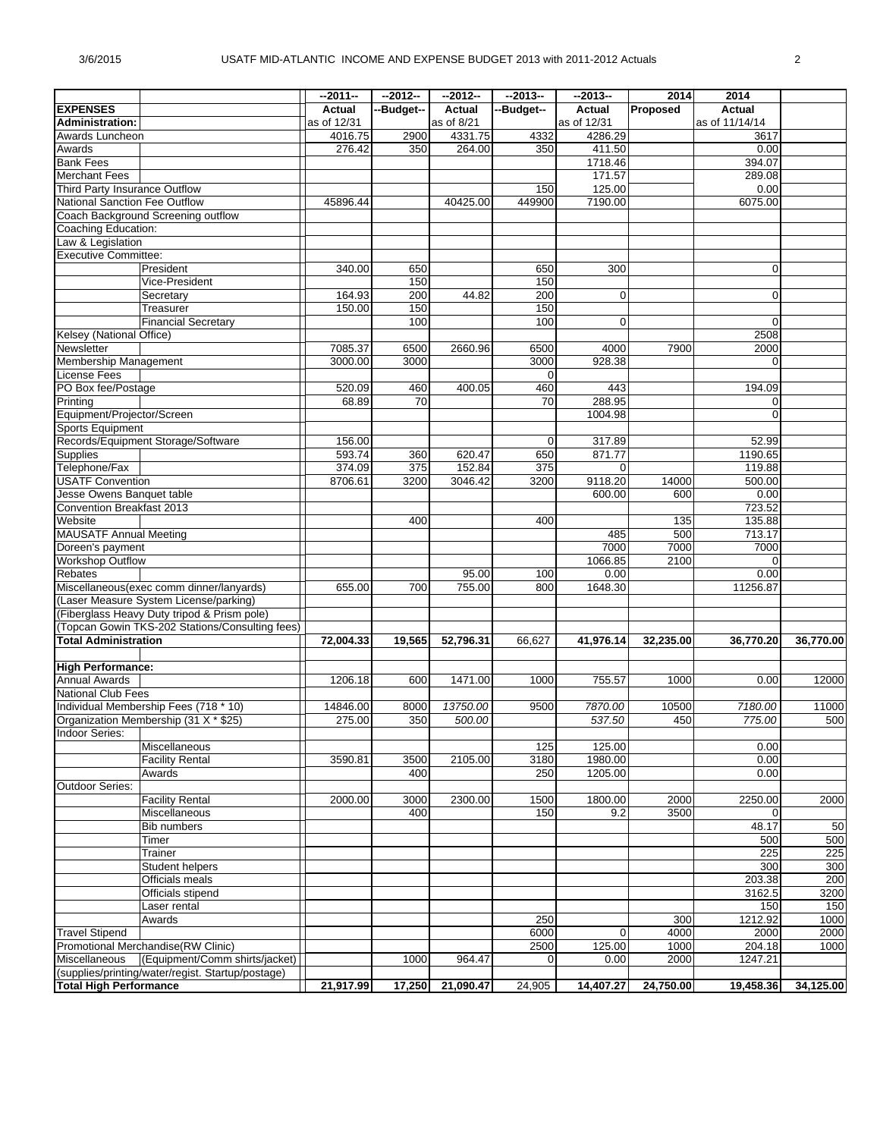|                                          |                                                                                       | $-2011-$    | $-2012-$    | $-2012-$   | $-2013-$         | $-2013-$           | 2014      | 2014           |           |
|------------------------------------------|---------------------------------------------------------------------------------------|-------------|-------------|------------|------------------|--------------------|-----------|----------------|-----------|
| <b>EXPENSES</b>                          |                                                                                       | Actual      | -Budget--   | Actual     | -Budget--        | Actual             | Proposed  | <b>Actual</b>  |           |
| <b>Administration:</b>                   |                                                                                       | as of 12/31 |             | as of 8/21 |                  | as of 12/31        |           | as of 11/14/14 |           |
| Awards Luncheon                          |                                                                                       | 4016.75     | 2900        | 4331.75    | 4332             | 4286.29            |           | 3617           |           |
| Awards                                   |                                                                                       | 276.42      | 350         | 264.00     | 350              | 411.50             |           | 0.00           |           |
| <b>Bank Fees</b>                         |                                                                                       |             |             |            |                  | 1718.46            |           | 394.07         |           |
| <b>Merchant Fees</b>                     |                                                                                       |             |             |            |                  | 171.57             |           | 289.08         |           |
| <b>Third Party Insurance Outflow</b>     |                                                                                       |             |             |            | 150              | 125.00             |           | 0.00           |           |
| <b>National Sanction Fee Outflow</b>     |                                                                                       | 45896.44    |             | 40425.00   | 449900           | 7190.00            |           | 6075.00        |           |
|                                          | Coach Background Screening outflow                                                    |             |             |            |                  |                    |           |                |           |
| Coaching Education:<br>Law & Legislation |                                                                                       |             |             |            |                  |                    |           |                |           |
| <b>Executive Committee:</b>              |                                                                                       |             |             |            |                  |                    |           |                |           |
|                                          | President                                                                             | 340.00      | 650         |            | 650              | 300                |           | 0              |           |
|                                          | Vice-President                                                                        |             | 150         |            | 150              |                    |           |                |           |
|                                          | Secretary                                                                             | 164.93      | 200         | 44.82      | 200              | 0                  |           | $\mathbf 0$    |           |
|                                          | Treasurer                                                                             | 150.00      | 150         |            | 150              |                    |           |                |           |
|                                          | <b>Financial Secretary</b>                                                            |             | 100         |            | 100              | $\mathbf 0$        |           | $\Omega$       |           |
| Kelsey (National Office)                 |                                                                                       |             |             |            |                  |                    |           | 2508           |           |
| Newsletter                               |                                                                                       | 7085.37     | 6500        | 2660.96    | 6500             | 4000               | 7900      | 2000           |           |
| <b>Membership Management</b>             |                                                                                       | 3000.00     | 3000        |            | 3000             | 928.38             |           | $\Omega$       |           |
| <b>License Fees</b>                      |                                                                                       |             |             |            | $\overline{0}$   |                    |           |                |           |
| PO Box fee/Postage                       |                                                                                       | 520.09      | 460         | 400.05     | 460              | 443<br>288.95      |           | 194.09         |           |
| Printing<br>Equipment/Projector/Screen   |                                                                                       | 68.89       | 70          |            | 70               | 1004.98            |           | 0<br>$\Omega$  |           |
| Sports Equipment                         |                                                                                       |             |             |            |                  |                    |           |                |           |
|                                          | Records/Equipment Storage/Software                                                    | 156.00      |             |            | $\Omega$         | 317.89             |           | 52.99          |           |
| <b>Supplies</b>                          |                                                                                       | 593.74      | 360         | 620.47     | 650              | 871.77             |           | 1190.65        |           |
| Telephone/Fax                            |                                                                                       | 374.09      | 375         | 152.84     | 375              |                    |           | 119.88         |           |
| <b>USATF Convention</b>                  |                                                                                       | 8706.61     | 3200        | 3046.42    | 3200             | 9118.20            | 14000     | 500.00         |           |
| Jesse Owens Banquet table                |                                                                                       |             |             |            |                  | 600.00             | 600       | 0.00           |           |
| Convention Breakfast 2013                |                                                                                       |             |             |            |                  |                    |           | 723.52         |           |
| Website                                  |                                                                                       |             | 400         |            | 400              |                    | 135       | 135.88         |           |
| <b>MAUSATF Annual Meeting</b>            |                                                                                       |             |             |            |                  | 485                | 500       | 713.17         |           |
| Doreen's payment                         |                                                                                       |             |             |            |                  | 7000               | 7000      | 7000           |           |
| <b>Workshop Outflow</b>                  |                                                                                       |             |             |            |                  | 1066.85            | 2100      |                |           |
| Rebates                                  |                                                                                       |             |             | 95.00      | 100              | 0.00               |           | 0.00           |           |
|                                          | Miscellaneous(exec comm dinner/lanyards)                                              | 655.00      | 700         | 755.00     | 800              | 1648.30            |           | 11256.87       |           |
|                                          | (Laser Measure System License/parking)<br>(Fiberglass Heavy Duty tripod & Prism pole) |             |             |            |                  |                    |           |                |           |
|                                          | (Topcan Gowin TKS-202 Stations/Consulting fees)                                       |             |             |            |                  |                    |           |                |           |
| <b>Total Administration</b>              |                                                                                       | 72,004.33   | 19,565      | 52,796.31  | 66,627           | 41,976.14          | 32,235.00 | 36.770.20      | 36,770.00 |
|                                          |                                                                                       |             |             |            |                  |                    |           |                |           |
| <b>High Performance:</b>                 |                                                                                       |             |             |            |                  |                    |           |                |           |
| <b>Annual Awards</b>                     |                                                                                       | 1206.18     | 600         | 1471.00    | 1000             | 755.57             | 1000      | 0.00           | 12000     |
| <b>National Club Fees</b>                |                                                                                       |             |             |            |                  |                    |           |                |           |
|                                          | Individual Membership Fees (718 * 10)                                                 | 14846.00    | 8000        | 13750.00   | 9500             | 7870.00            | 10500     | 7180.00        | 11000     |
|                                          | Organization Membership (31 X * \$25)                                                 | 275.00      | 350         | 500.00     |                  | 537.50             | 450       | 775.00         | 500       |
| <b>Indoor Series:</b>                    |                                                                                       |             |             |            |                  |                    |           |                |           |
|                                          | <b>Miscellaneous</b>                                                                  |             |             |            | 125              | 125.00             |           | 0.00           |           |
|                                          | <b>Facility Rental</b><br>Awards                                                      | 3590.81     | 3500<br>400 | 2105.00    | 3180<br>250      | 1980.00<br>1205.00 |           | 0.00<br>0.00   |           |
| Outdoor Series:                          |                                                                                       |             |             |            |                  |                    |           |                |           |
|                                          | <b>Facility Rental</b>                                                                | 2000.00     | 3000        | 2300.00    | 1500             | 1800.00            | 2000      | 2250.00        | 2000      |
|                                          | <b>Miscellaneous</b>                                                                  |             | 400         |            | 150              | 9.2                | 3500      | 0              |           |
|                                          | <b>Bib numbers</b>                                                                    |             |             |            |                  |                    |           | 48.17          | 50        |
|                                          | Timer                                                                                 |             |             |            |                  |                    |           | 500            | 500       |
|                                          | Trainer                                                                               |             |             |            |                  |                    |           | 225            | 225       |
|                                          | Student helpers                                                                       |             |             |            |                  |                    |           | 300            | 300       |
|                                          | Officials meals                                                                       |             |             |            |                  |                    |           | 203.38         | 200       |
|                                          | Officials stipend                                                                     |             |             |            |                  |                    |           | 3162.5         | 3200      |
|                                          | Laser rental                                                                          |             |             |            |                  |                    |           | 150            | 150       |
|                                          | Awards                                                                                |             |             |            | 250              |                    | 300       | 1212.92        | 1000      |
| <b>Travel Stipend</b>                    |                                                                                       |             |             |            | 6000             | $\Omega$           | 4000      | 2000           | 2000      |
|                                          | Promotional Merchandise(RW Clinic)                                                    |             |             |            | 2500<br>$\Omega$ | 125.00             | 1000      | 204.18         | 1000      |
| <b>Miscellaneous</b>                     | (Equipment/Comm shirts/jacket)<br>(supplies/printing/water/regist. Startup/postage)   |             | 1000        | 964.47     |                  | 0.00               | 2000      | 1247.21        |           |
| <b>Total High Performance</b>            |                                                                                       | 21,917.99   | 17,250      | 21,090.47  | 24,905           | 14,407.27          | 24,750.00 | 19,458.36      | 34,125.00 |
|                                          |                                                                                       |             |             |            |                  |                    |           |                |           |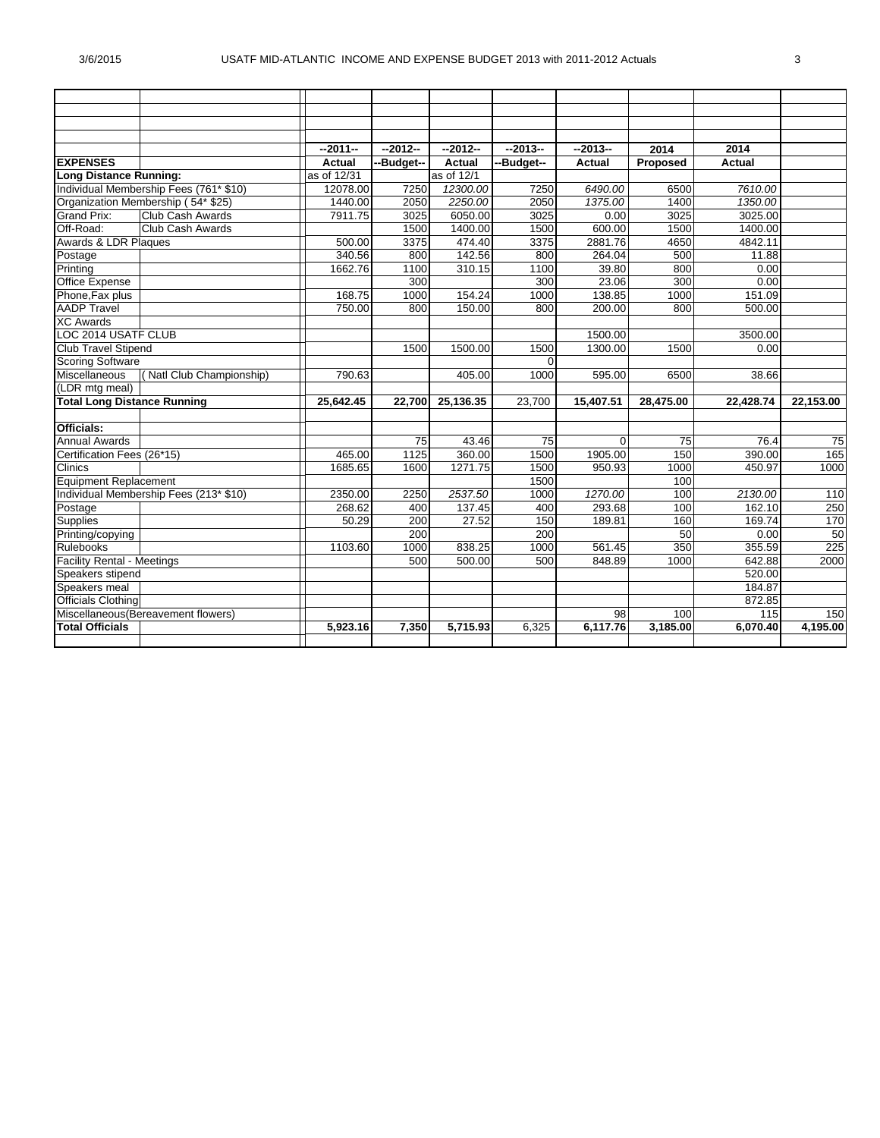|                                    |                                        | $-2011-$    | $-2012-$  | $-2012-$   | $-2013-$  | $-2013-$  | 2014      | 2014      |           |
|------------------------------------|----------------------------------------|-------------|-----------|------------|-----------|-----------|-----------|-----------|-----------|
| <b>EXPENSES</b>                    |                                        | Actual      | -Budget-- | Actual     | -Budget-- | Actual    | Proposed  | Actual    |           |
| Long Distance Running:             |                                        | as of 12/31 |           | as of 12/1 |           |           |           |           |           |
|                                    | Individual Membership Fees (761* \$10) | 12078.00    | 7250      | 12300.00   | 7250      | 6490.00   | 6500      | 7610.00   |           |
|                                    | Organization Membership (54* \$25)     | 1440.00     | 2050      | 2250.00    | 2050      | 1375.00   | 1400      | 1350.00   |           |
| <b>Grand Prix:</b>                 | Club Cash Awards                       | 7911.75     | 3025      | 6050.00    | 3025      | 0.00      | 3025      | 3025.00   |           |
| Off-Road:                          | Club Cash Awards                       |             | 1500      | 1400.00    | 1500      | 600.00    | 1500      | 1400.00   |           |
| Awards & LDR Plaques               |                                        | 500.00      | 3375      | 474.40     | 3375      | 2881.76   | 4650      | 4842.11   |           |
| Postage                            |                                        | 340.56      | 800       | 142.56     | 800       | 264.04    | 500       | 11.88     |           |
| Printing                           |                                        | 1662.76     | 1100      | 310.15     | 1100      | 39.80     | 800       | 0.00      |           |
| Office Expense                     |                                        |             | 300       |            | 300       | 23.06     | 300       | 0.00      |           |
| Phone, Fax plus                    |                                        | 168.75      | 1000      | 154.24     | 1000      | 138.85    | 1000      | 151.09    |           |
| <b>AADP Travel</b>                 |                                        | 750.00      | 800       | 150.00     | 800       | 200.00    | 800       | 500.00    |           |
| <b>XC Awards</b>                   |                                        |             |           |            |           |           |           |           |           |
| <b>LOC 2014 USATF CLUB</b>         |                                        |             |           |            |           | 1500.00   |           | 3500.00   |           |
| <b>Club Travel Stipend</b>         |                                        |             | 1500      | 1500.00    | 1500      | 1300.00   | 1500      | 0.00      |           |
| <b>Scoring Software</b>            |                                        |             |           |            | $\Omega$  |           |           |           |           |
| Miscellaneous                      | Natl Club Championship)                | 790.63      |           | 405.00     | 1000      | 595.00    | 6500      | 38.66     |           |
| (LDR mtg meal)                     |                                        |             |           |            |           |           |           |           |           |
| <b>Total Long Distance Running</b> |                                        | 25,642.45   | 22,700    | 25,136.35  | 23,700    | 15,407.51 | 28,475.00 | 22,428.74 | 22,153.00 |
|                                    |                                        |             |           |            |           |           |           |           |           |
| Officials:                         |                                        |             |           |            |           |           |           |           |           |
| <b>Annual Awards</b>               |                                        |             | 75        | 43.46      | 75        | $\Omega$  | 75        | 76.4      | 75        |
| Certification Fees (26*15)         |                                        | 465.00      | 1125      | 360.00     | 1500      | 1905.00   | 150       | 390.00    | 165       |
| Clinics                            |                                        | 1685.65     | 1600      | 1271.75    | 1500      | 950.93    | 1000      | 450.97    | 1000      |
| <b>Equipment Replacement</b>       |                                        |             |           |            | 1500      |           | 100       |           |           |
|                                    | Individual Membership Fees (213* \$10) | 2350.00     | 2250      | 2537.50    | 1000      | 1270.00   | 100       | 2130.00   | 110       |
| Postage                            |                                        | 268.62      | 400       | 137.45     | 400       | 293.68    | 100       | 162.10    | 250       |
| <b>Supplies</b>                    |                                        | 50.29       | 200       | 27.52      | 150       | 189.81    | 160       | 169.74    | 170       |
| Printing/copying                   |                                        |             | 200       |            | 200       |           | 50        | 0.00      | 50        |
| Rulebooks                          |                                        | 1103.60     | 1000      | 838.25     | 1000      | 561.45    | 350       | 355.59    | 225       |
| <b>Facility Rental - Meetings</b>  |                                        |             | 500       | 500.00     | 500       | 848.89    | 1000      | 642.88    | 2000      |
| Speakers stipend                   |                                        |             |           |            |           |           |           | 520.00    |           |
| Speakers meal                      |                                        |             |           |            |           |           |           | 184.87    |           |
| Officials Clothing                 |                                        |             |           |            |           |           |           | 872.85    |           |
|                                    | Miscellaneous(Bereavement flowers)     |             |           |            |           | 98        | 100       | 115       | 150       |
| <b>Total Officials</b>             |                                        | 5.923.16    | 7.350     | 5.715.93   | 6.325     | 6.117.76  | 3.185.00  | 6.070.40  | 4.195.00  |
|                                    |                                        |             |           |            |           |           |           |           |           |
|                                    |                                        |             |           |            |           |           |           |           |           |